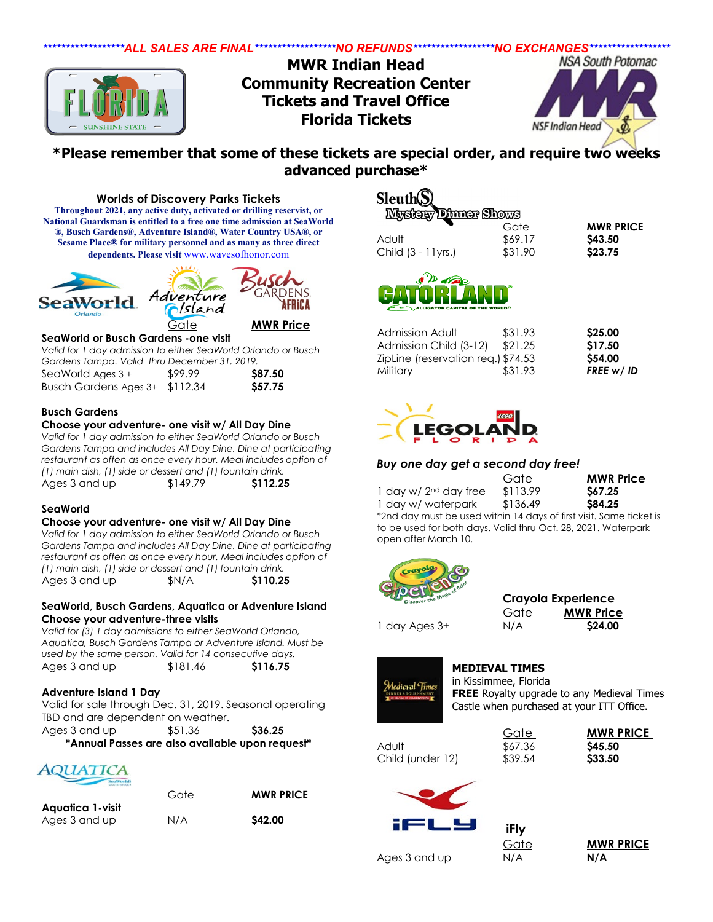

## **\*Please remember that some of these tickets are special order, and require two weeks advanced purchase\***

**Worlds of Discovery Parks Tickets Throughout 2021, any active duty, activated or drilling reservist, or National Guardsman is entitled to a free one time admission at SeaWorld ®, Busch Gardens®, Adventure Island®, Water Country USA®, or Sesame Place® for military personnel and as many as three direct dependents. Please visit** [www.wavesofhonor.com](http://www.wavesofhonor.com/)



Gate **MWR Price**

DENS

FRICA

### **SeaWorld or Busch Gardens -one visit**

*Valid for 1 day admission to either SeaWorld Orlando or Busch Gardens Tampa. Valid thru December 31, 2019.* SeaWorld Ages 3 + \$99.99 **\$87.50** Busch Gardens Ages 3+ \$112.34 **\$57.75**

**Busch Gardens**

#### **Choose your adventure- one visit w/ All Day Dine**

*Valid for 1 day admission to either SeaWorld Orlando or Busch Gardens Tampa and includes All Day Dine. Dine at participating restaurant as often as once every hour. Meal includes option of (1) main dish, (1) side or dessert and (1) fountain drink.*  Ages 3 and up \$149.79 **\$112.25**

#### **SeaWorld**

#### **Choose your adventure- one visit w/ All Day Dine**

*Valid for 1 day admission to either SeaWorld Orlando or Busch Gardens Tampa and includes All Day Dine. Dine at participating restaurant as often as once every hour. Meal includes option of (1) main dish, (1) side or dessert and (1) fountain drink.*  Ages 3 and up **\$N/A \$110.25** 

### **SeaWorld, Busch Gardens, Aquatica or Adventure Island Choose your adventure-three visits**

*Valid for (3) 1 day admissions to either SeaWorld Orlando, Aquatica, Busch Gardens Tampa or Adventure Island. Must be used by the same person. Valid for 14 consecutive days.*  Ages 3 and up \$181.46 **\$116.75**

## **Adventure Island 1 Day**

Valid for sale through Dec. 31, 2019. Seasonal operating TBD and are dependent on weather. Ages 3 and up  $$51.36$  **\$36.25** 

**\*Annual Passes are also available upon request\***



|                  | Gate | <b>MWR PRICE</b> |
|------------------|------|------------------|
| Aguatica 1-visit |      |                  |
| Ages 3 and up    | N/A  | \$42.00          |

# Sleuth(S

| Gate    | <b>MWR PRICE</b>            |
|---------|-----------------------------|
| \$69.17 | S43.50                      |
| \$31.90 | \$23.75                     |
|         | <b>MARGEA Littuar Prome</b> |



| Admission Adult                    | \$31.93 | \$25.00   |
|------------------------------------|---------|-----------|
| Admission Child (3-12)             | \$21.25 | \$17.50   |
| ZipLine (reservation req.) \$74.53 |         | \$54.00   |
| Military                           | \$31.93 | FREE w/ID |



## *Buy one day get a second day free!*

|                                                                     | Gate     | <b>MWR Price</b> |
|---------------------------------------------------------------------|----------|------------------|
| 1 day w/ $2nd$ day free                                             | \$113.99 | S67.25           |
| 1 day w/ waterpark                                                  | \$136.49 | <b>S84.25</b>    |
| *2nd day must be used within 14 days of first visit. Same ticket is |          |                  |

to be used for both days. Valid thru Oct. 28, 2021. Waterpark open after March 10.



|      | Crayola Experience |
|------|--------------------|
| Gate | <b>MWR Price</b>   |
| N/A  | \$24.00            |



1 day Ages 3+

**MEDIEVAL TIMES** in Kissimmee, Florida

**FREE** Royalty upgrade to any Medieval Times Castle when purchased at your ITT Office.

Adult **\$67.36 \$45.50** Child (under 12) \$39.54 **\$33.50**







**iFly** 

Gate **MWR PRICE**

Ages 3 and up N/A **N/A**